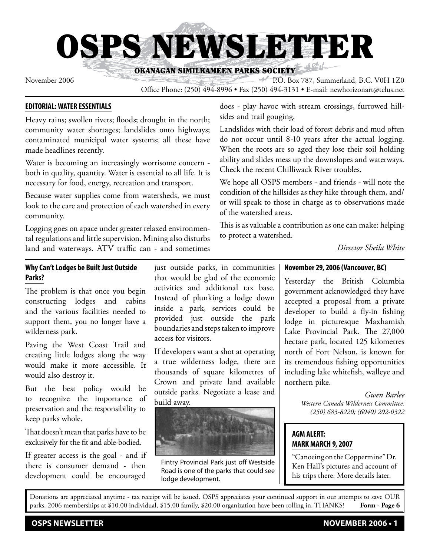OSPS NEWSLETTER

OKANAGAN SIMILKAMEEN PARKS SOCIETY

November 2006 P.O. Box 787, Summerland, B.C. V0H 1Z0 Office Phone: (250) 494-8996 • Fax (250) 494-3131 • E-mail: newhorizonart@telus.net

# **EDITORIAL: WATER ESSENTIALS**

Heavy rains; swollen rivers; floods; drought in the north; community water shortages; landslides onto highways; contaminated municipal water systems; all these have made headlines recently.

Water is becoming an increasingly worrisome concern both in quality, quantity. Water is essential to all life. It is necessary for food, energy, recreation and transport.

Because water supplies come from watersheds, we must look to the care and protection of each watershed in every community.

Logging goes on apace under greater relaxed environmental regulations and little supervision. Mining also disturbs land and waterways. ATV traffic can - and sometimes

## **Why Can't Lodges be Built Just Outside Parks?**

The problem is that once you begin constructing lodges and cabins and the various facilities needed to support them, you no longer have a wilderness park.

Paving the West Coast Trail and creating little lodges along the way would make it more accessible. It would also destroy it.

But the best policy would be to recognize the importance of preservation and the responsibility to keep parks whole.

That doesn't mean that parks have to be exclusively for the fit and able-bodied.

If greater access is the goal - and if there is consumer demand - then development could be encouraged just outside parks, in communities that would be glad of the economic activities and additional tax base. Instead of plunking a lodge down inside a park, services could be provided just outside the park boundaries and steps taken to improve access for visitors.

If developers want a shot at operating a true wilderness lodge, there are thousands of square kilometres of Crown and private land available outside parks. Negotiate a lease and build away.



Fintry Provincial Park just off Westside Road is one of the parks that could see lodge development.

does - play havoc with stream crossings, furrowed hillsides and trail gouging.

Landslides with their load of forest debris and mud often do not occur until 8-10 years after the actual logging. When the roots are so aged they lose their soil holding ability and slides mess up the downslopes and waterways. Check the recent Chilliwack River troubles.

We hope all OSPS members - and friends - will note the condition of the hillsides as they hike through them, and/ or will speak to those in charge as to observations made of the watershed areas.

This is as valuable a contribution as one can make: helping to protect a watershed.

*Director Sheila White*

# **November 29, 2006 (Vancouver, BC)**

Yesterday the British Columbia government acknowledged they have accepted a proposal from a private developer to build a fly-in fishing lodge in picturesque Maxhamish Lake Provincial Park. The 27,000 hectare park, located 125 kilometres north of Fort Nelson, is known for its tremendous fishing opportunities including lake whitefish, walleye and northern pike.

> *Gwen Barlee Western Canada Wilderness Committee: (250) 683-8220; (6040) 202-0322*

# **AGM ALERT: MARK MARCH 9, 2007**

"Canoeing on the Coppermine" Dr. Ken Hall's pictures and account of his trips there. More details later.

Donations are appreciated anytime - tax receipt will be issued. OSPS appreciates your continued support in our attempts to save OUR parks. 2006 memberships at \$10.00 individual, \$15.00 family, \$20.00 organization have been rolling in. THANKS! **Form - Page 6**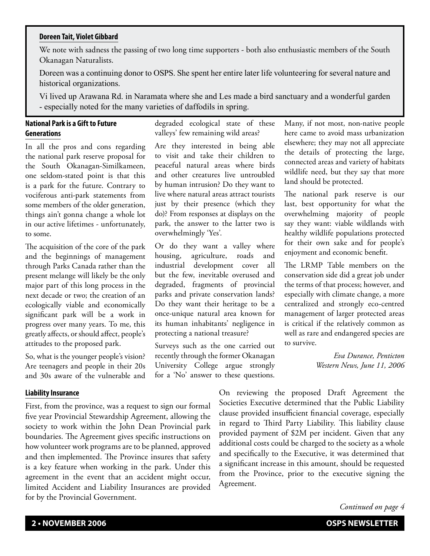#### **Doreen Tait, Violet Gibbard**

We note with sadness the passing of two long time supporters - both also enthusiastic members of the South Okanagan Naturalists.

Doreen was a continuing donor to OSPS. She spent her entire later life volunteering for several nature and historical organizations.

Vi lived up Arawana Rd. in Naramata where she and Les made a bird sanctuary and a wonderful garden - especially noted for the many varieties of daffodils in spring.

# **National Park is a Gift to Future Generations**

In all the pros and cons regarding the national park reserve proposal for the South Okanagan-Similkameen, one seldom-stated point is that this is a park for the future. Contrary to vociferous anti-park statements from some members of the older generation, things ain't gonna change a whole lot in our active lifetimes - unfortunately, to some.

The acquisition of the core of the park and the beginnings of management through Parks Canada rather than the present melange will likely be the only major part of this long process in the next decade or two; the creation of an ecologically viable and economically significant park will be a work in progress over many years. To me, this greatly affects, or should affect, people's attitudes to the proposed park.

So, what is the younger people's vision? Are teenagers and people in their 20s and 30s aware of the vulnerable and

#### **Liability Insurance**

First, from the province, was a request to sign our formal five year Provincial Stewardship Agreement, allowing the society to work within the John Dean Provincial park boundaries. The Agreement gives specific instructions on how volunteer work programs are to be planned, approved and then implemented. The Province insures that safety is a key feature when working in the park. Under this agreement in the event that an accident might occur, limited Accident and Liability Insurances are provided for by the Provincial Government.

degraded ecological state of these valleys' few remaining wild areas?

Are they interested in being able to visit and take their children to peaceful natural areas where birds and other creatures live untroubled by human intrusion? Do they want to live where natural areas attract tourists just by their presence (which they do)? From responses at displays on the park, the answer to the latter two is overwhelmingly 'Yes'.

Or do they want a valley where housing, agriculture, roads and industrial development cover all but the few, inevitable overused and degraded, fragments of provincial parks and private conservation lands? Do they want their heritage to be a once-unique natural area known for its human inhabitants' negligence in protecting a national treasure?

Surveys such as the one carried out recently through the former Okanagan University College argue strongly for a 'No' answer to these questions.

Many, if not most, non-native people here came to avoid mass urbanization elsewhere; they may not all appreciate the details of protecting the large, connected areas and variety of habitats wildlife need, but they say that more land should be protected.

The national park reserve is our last, best opportunity for what the overwhelming majority of people say they want: viable wildlands with healthy wildlife populations protected for their own sake and for people's enjoyment and economic benefit.

The LRMP Table members on the conservation side did a great job under the terms of that process; however, and especially with climate change, a more centralized and strongly eco-centred management of larger protected areas is critical if the relatively common as well as rare and endangered species are to survive.

> *Eva Durance, Penticton Western News, June 11, 2006*

On reviewing the proposed Draft Agreement the Societies Executive determined that the Public Liability clause provided insufficient financial coverage, especially in regard to Third Party Liability. This liability clause provided payment of \$2M per incident. Given that any additional costs could be charged to the society as a whole and specifically to the Executive, it was determined that a significant increase in this amount, should be requested from the Province, prior to the executive signing the Agreement.

*Continued on page 4*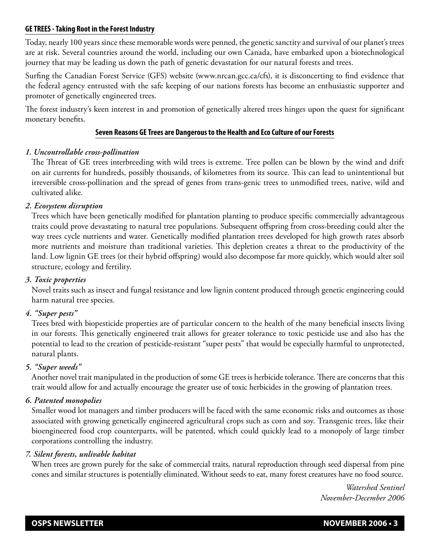## **GE TREES - Taking Root in the Forest Industry**

Today, nearly 100 years since these memorable words were penned, the genetic sanctity and survival of our planet's trees are at risk. Several countries around the world, including our own Canada, have embarked upon a biotechnological journey that may be leading us down the path of genetic devastation for our natural forests and trees.

Surfing the Canadian Forest Service (GFS) website (www.nrcan.gcc.ca/cfs), it is disconcerting to find evidence that the federal agency entrusted with the safe keeping of our nations forests has become an enthusiastic supporter and promoter of genetically engineered trees.

The forest industry's keen interest in and promotion of genetically altered trees hinges upon the quest for significant monetary benefits.

## **Seven Reasons GE Trees are Dangerous to the Health and Eco Culture of our Forests**

## *1. Uncontrollable cross-pollination*

The Threat of GE trees interbreeding with wild trees is extreme. Tree pollen can be blown by the wind and drift on air currents for hundreds, possibly thousands, of kilometres from its source. This can lead to unintentional but irreversible cross-pollination and the spread of genes from trans-genic trees to unmodified trees, native, wild and cultivated alike.

## *2. Ecosystem disruption*

Trees which have been genetically modified for plantation planting to produce specific commercially advantageous traits could prove devastating to natural tree populations. Subsequent offspring from cross-breeding could alter the way trees cycle nutrients and water. Genetically modified plantation trees developed for high growth rates absorb more nutrients and moisture than traditional varieties. This depletion creates a threat to the productivity of the land. Low lignin GE trees (or their hybrid offspring) would also decompose far more quickly, which would alter soil structure, ecology and fertility.

### *3. Toxic properties*

Novel traits such as insect and fungal resistance and low lignin content produced through genetic engineering could harm natural tree species.

#### *4. "Super pests"*

Trees bred with biopesticide properties are of particular concern to the health of the many beneficial insects living in our forests. This genetically engineered trait allows for greater tolerance to toxic pesticide use and also has the potential to lead to the creation of pesticide-resistant "super pests" that would be especially harmful to unprotected, natural plants.

#### *5. "Super weeds"*

Another novel trait manipulated in the production of some GE trees is herbicide tolerance. There are concerns that this trait would allow for and actually encourage the greater use of toxic herbicides in the growing of plantation trees.

#### *6. Patented monopolies*

Smaller wood lot managers and timber producers will be faced with the same economic risks and outcomes as those associated with growing genetically engineered agricultural crops such as corn and soy. Transgenic trees, like their bioengineered food crop counterparts, will be patented, which could quickly lead to a monopoly of large timber corporations controlling the industry.

#### *7. Silent forests, unlivable habitat*

When trees are grown purely for the sake of commercial traits, natural reproduction through seed dispersal from pine cones and similar structures is potentially eliminated. Without seeds to eat, many forest creatures have no food source.

> *Watershed Sentinel November-December 2006*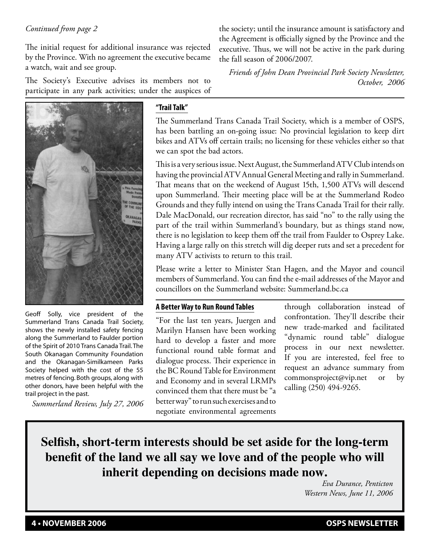# *Continued from page 2*

The initial request for additional insurance was rejected by the Province. With no agreement the executive became a watch, wait and see group.

The Society's Executive advises its members not to participate in any park activities; under the auspices of

Geoff Solly, vice president of the Summerland Trans Canada Trail Society, shows the newly installed safety fencing along the Summerland to Faulder portion of the Spirit of 2010 Trans Canada Trail. The South Okanagan Community Foundation and the Okanagan-Similkameen Parks Society helped with the cost of the 55 metres of fencing. Both groups, along with other donors, have been helpful with the trail project in the past.

*Summerland Review, July 27, 2006*

# **"Trail Talk"**

The Summerland Trans Canada Trail Society, which is a member of OSPS, has been battling an on-going issue: No provincial legislation to keep dirt bikes and ATVs off certain trails; no licensing for these vehicles either so that we can spot the bad actors.

This is a very serious issue. Next August, the Summerland ATV Club intends on having the provincial ATV Annual General Meeting and rally in Summerland. That means that on the weekend of August 15th, 1,500 ATVs will descend upon Summerland. Their meeting place will be at the Summerland Rodeo Grounds and they fully intend on using the Trans Canada Trail for their rally. Dale MacDonald, our recreation director, has said "no" to the rally using the part of the trail within Summerland's boundary, but as things stand now, there is no legislation to keep them off the trail from Faulder to Osprey Lake. Having a large rally on this stretch will dig deeper ruts and set a precedent for many ATV activists to return to this trail.

Please write a letter to Minister Stan Hagen, and the Mayor and council members of Summerland. You can find the e-mail addresses of the Mayor and councillors on the Summerland website: Summerland.bc.ca

#### **A Better Way to Run Round Tables**

"For the last ten years, Juergen and Marilyn Hansen have been working hard to develop a faster and more functional round table format and dialogue process. Their experience in the BC Round Table for Environment and Economy and in several LRMPs convinced them that there must be "a better way" to run such exercises and to negotiate environmental agreements

through collaboration instead of confrontation. They'll describe their new trade-marked and facilitated "dynamic round table" dialogue process in our next newsletter. If you are interested, feel free to request an advance summary from commonsproject@vip.net or by calling (250) 494-9265.

**Selfish, short-term interests should be set aside for the long-term benefit of the land we all say we love and of the people who will inherit depending on decisions made now.**

*Eva Durance, Penticton Western News, June 11, 2006*

*Friends of John Dean Provincial Park Society Newsletter, October, 2006*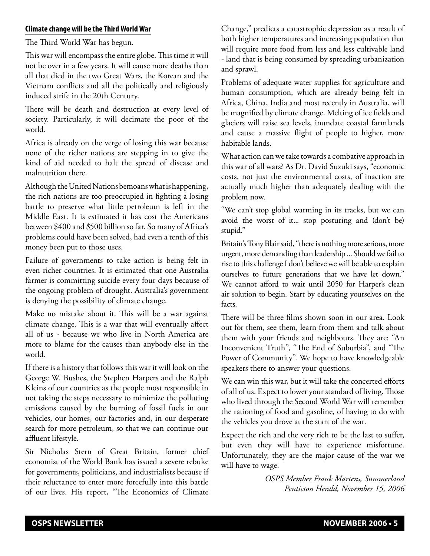## **Climate change will be the Third World War**

The Third World War has begun.

This war will encompass the entire globe. This time it will not be over in a few years. It will cause more deaths than all that died in the two Great Wars, the Korean and the Vietnam conflicts and all the politically and religiously induced strife in the 20th Century.

There will be death and destruction at every level of society. Particularly, it will decimate the poor of the world.

Africa is already on the verge of losing this war because none of the richer nations are stepping in to give the kind of aid needed to halt the spread of disease and malnutrition there.

Although the United Nations bemoans what is happening, the rich nations are too preoccupied in fighting a losing battle to preserve what little petroleum is left in the Middle East. It is estimated it has cost the Americans between \$400 and \$500 billion so far. So many of Africa's problems could have been solved, had even a tenth of this money been put to those uses.

Failure of governments to take action is being felt in even richer countries. It is estimated that one Australia farmer is committing suicide every four days because of the ongoing problem of drought. Australia's government is denying the possibility of climate change.

Make no mistake about it. This will be a war against climate change. This is a war that will eventually affect all of us - because we who live in North America are more to blame for the causes than anybody else in the world.

If there is a history that follows this war it will look on the George W. Bushes, the Stephen Harpers and the Ralph Kleins of our countries as the people most responsible in not taking the steps necessary to minimize the polluting emissions caused by the burning of fossil fuels in our vehicles, our homes, our factories and, in our desperate search for more petroleum, so that we can continue our affluent lifestyle.

Sir Nicholas Stern of Great Britain, former chief economist of the World Bank has issued a severe rebuke for governments, politicians, and industrialists because if their reluctance to enter more forcefully into this battle of our lives. His report, "The Economics of Climate

Change," predicts a catastrophic depression as a result of both higher temperatures and increasing population that will require more food from less and less cultivable land - land that is being consumed by spreading urbanization and sprawl.

Problems of adequate water supplies for agriculture and human consumption, which are already being felt in Africa, China, India and most recently in Australia, will be magnified by climate change. Melting of ice fields and glaciers will raise sea levels, inundate coastal farmlands and cause a massive flight of people to higher, more habitable lands.

What action can we take towards a combative approach in this war of all wars? As Dr. David Suzuki says, "economic costs, not just the environmental costs, of inaction are actually much higher than adequately dealing with the problem now.

"We can't stop global warming in its tracks, but we can avoid the worst of it... stop posturing and (don't be) stupid."

Britain's Tony Blair said, "there is nothing more serious, more urgent, more demanding than leadership ... Should we fail to rise to this challenge I don't believe we will be able to explain ourselves to future generations that we have let down." We cannot afford to wait until 2050 for Harper's clean air solution to begin. Start by educating yourselves on the facts.

There will be three films shown soon in our area. Look out for them, see them, learn from them and talk about them with your friends and neighbours. They are: "An Inconvenient Truth", "The End of Suburbia", and "The Power of Community". We hope to have knowledgeable speakers there to answer your questions.

We can win this war, but it will take the concerted efforts of all of us. Expect to lower your standard of living. Those who lived through the Second World War will remember the rationing of food and gasoline, of having to do with the vehicles you drove at the start of the war.

Expect the rich and the very rich to be the last to suffer, but even they will have to experience misfortune. Unfortunately, they are the major cause of the war we will have to wage.

> *OSPS Member Frank Martens, Summerland Penticton Herald, November 15, 2006*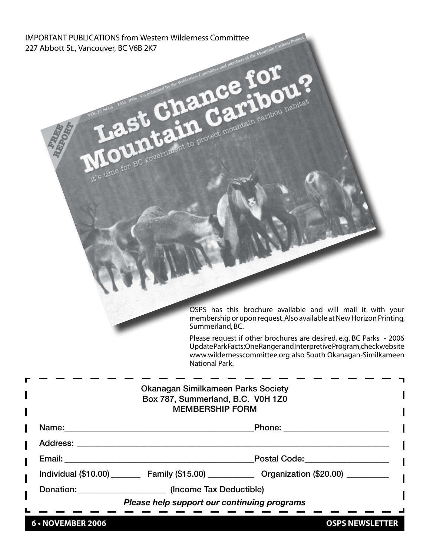IMPORTANT PUBLICATIONS from Western Wilderness Committee 227 Abbott St., Vancouver, BC V6B 2K7

> OSPS has this brochure available and will mail it with your membership or upon request. Also available at New Horizon Printing, Summerland, BC.

> Please request if other brochures are desired, e.g. BC Parks - 2006 Update Park Facts; One Ranger and Interpretive Program, check website www.wildernesscommittee.org also South Okanagan-Similkameen National Park.

| Box 787, Summerland, B.C. V0H 1Z0<br><b>MEMBERSHIP FORM</b> |                                                                                                   |
|-------------------------------------------------------------|---------------------------------------------------------------------------------------------------|
|                                                             | Phone: ________________________                                                                   |
|                                                             |                                                                                                   |
|                                                             | Postal Code: ____________________                                                                 |
|                                                             | Individual (\$10.00) __________ Family (\$15.00) ______________ Organization (\$20.00) __________ |
| Donation: (Income Tax Deductible)                           |                                                                                                   |
| Please help support our continuing programs                 |                                                                                                   |

ntain creation camber of tor

**6 • NOVEMBER 2006 CONFIDENTIER** OSPS NEWSLETTER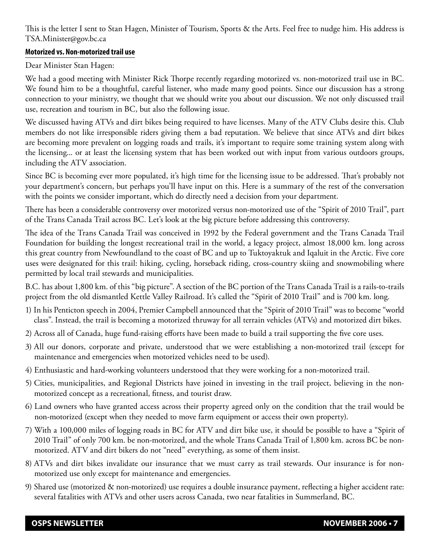This is the letter I sent to Stan Hagen, Minister of Tourism, Sports & the Arts. Feel free to nudge him. His address is TSA.Minister@gov.bc.ca

## **Motorized vs. Non-motorized trail use**

Dear Minister Stan Hagen:

We had a good meeting with Minister Rick Thorpe recently regarding motorized vs. non-motorized trail use in BC. We found him to be a thoughtful, careful listener, who made many good points. Since our discussion has a strong connection to your ministry, we thought that we should write you about our discussion. We not only discussed trail use, recreation and tourism in BC, but also the following issue.

We discussed having ATVs and dirt bikes being required to have licenses. Many of the ATV Clubs desire this. Club members do not like irresponsible riders giving them a bad reputation. We believe that since ATVs and dirt bikes are becoming more prevalent on logging roads and trails, it's important to require some training system along with the licensing... or at least the licensing system that has been worked out with input from various outdoors groups, including the ATV association.

Since BC is becoming ever more populated, it's high time for the licensing issue to be addressed. That's probably not your department's concern, but perhaps you'll have input on this. Here is a summary of the rest of the conversation with the points we consider important, which do directly need a decision from your department.

There has been a considerable controversy over motorized versus non-motorized use of the "Spirit of 2010 Trail", part of the Trans Canada Trail across BC. Let's look at the big picture before addressing this controversy.

The idea of the Trans Canada Trail was conceived in 1992 by the Federal government and the Trans Canada Trail Foundation for building the longest recreational trail in the world, a legacy project, almost 18,000 km. long across this great country from Newfoundland to the coast of BC and up to Tuktoyaktuk and Iqaluit in the Arctic. Five core uses were designated for this trail: hiking, cycling, horseback riding, cross-country skiing and snowmobiling where permitted by local trail stewards and municipalities.

B.C. has about 1,800 km. of this "big picture". A section of the BC portion of the Trans Canada Trail is a rails-to-trails project from the old dismantled Kettle Valley Railroad. It's called the "Spirit of 2010 Trail" and is 700 km. long.

- 1) In his Penticton speech in 2004, Premier Campbell announced that the "Spirit of 2010 Trail" was to become "world class". Instead, the trail is becoming a motorized thruway for all terrain vehicles (ATVs) and motorized dirt bikes.
- 2) Across all of Canada, huge fund-raising efforts have been made to build a trail supporting the five core uses.
- 3) All our donors, corporate and private, understood that we were establishing a non-motorized trail (except for maintenance and emergencies when motorized vehicles need to be used).
- 4) Enthusiastic and hard-working volunteers understood that they were working for a non-motorized trail.
- 5) Cities, municipalities, and Regional Districts have joined in investing in the trail project, believing in the nonmotorized concept as a recreational, fitness, and tourist draw.
- 6) Land owners who have granted access across their property agreed only on the condition that the trail would be non-motorized (except when they needed to move farm equipment or access their own property).
- 7) With a 100,000 miles of logging roads in BC for ATV and dirt bike use, it should be possible to have a "Spirit of 2010 Trail" of only 700 km. be non-motorized, and the whole Trans Canada Trail of 1,800 km. across BC be nonmotorized. ATV and dirt bikers do not "need" everything, as some of them insist.
- 8) ATVs and dirt bikes invalidate our insurance that we must carry as trail stewards. Our insurance is for nonmotorized use only except for maintenance and emergencies.
- 9) Shared use (motorized & non-motorized) use requires a double insurance payment, reflecting a higher accident rate: several fatalities with ATVs and other users across Canada, two near fatalities in Summerland, BC.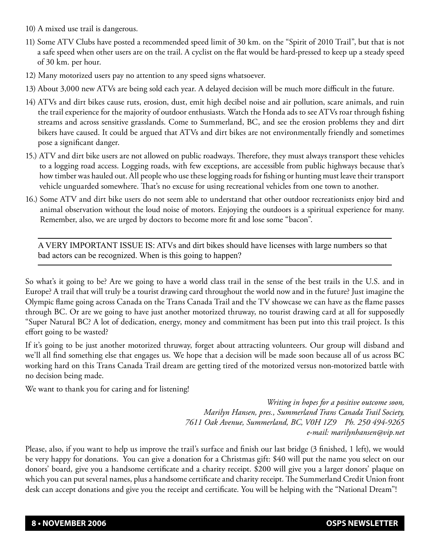- 10) A mixed use trail is dangerous.
- 11) Some ATV Clubs have posted a recommended speed limit of 30 km. on the "Spirit of 2010 Trail", but that is not a safe speed when other users are on the trail. A cyclist on the flat would be hard-pressed to keep up a steady speed of 30 km. per hour.
- 12) Many motorized users pay no attention to any speed signs whatsoever.
- 13) About 3,000 new ATVs are being sold each year. A delayed decision will be much more difficult in the future.
- 14) ATVs and dirt bikes cause ruts, erosion, dust, emit high decibel noise and air pollution, scare animals, and ruin the trail experience for the majority of outdoor enthusiasts. Watch the Honda ads to see ATVs roar through fishing streams and across sensitive grasslands. Come to Summerland, BC, and see the erosion problems they and dirt bikers have caused. It could be argued that ATVs and dirt bikes are not environmentally friendly and sometimes pose a significant danger.
- 15.) ATV and dirt bike users are not allowed on public roadways. Therefore, they must always transport these vehicles to a logging road access. Logging roads, with few exceptions, are accessible from public highways because that's how timber was hauled out. All people who use these logging roads for fishing or hunting must leave their transport vehicle unguarded somewhere. That's no excuse for using recreational vehicles from one town to another.
- 16.) Some ATV and dirt bike users do not seem able to understand that other outdoor recreationists enjoy bird and animal observation without the loud noise of motors. Enjoying the outdoors is a spiritual experience for many. Remember, also, we are urged by doctors to become more fit and lose some "bacon".

A VERY IMPORTANT ISSUE IS: ATVs and dirt bikes should have licenses with large numbers so that bad actors can be recognized. When is this going to happen?

So what's it going to be? Are we going to have a world class trail in the sense of the best trails in the U.S. and in Europe? A trail that will truly be a tourist drawing card throughout the world now and in the future? Just imagine the Olympic flame going across Canada on the Trans Canada Trail and the TV showcase we can have as the flame passes through BC. Or are we going to have just another motorized thruway, no tourist drawing card at all for supposedly "Super Natural BC? A lot of dedication, energy, money and commitment has been put into this trail project. Is this effort going to be wasted?

If it's going to be just another motorized thruway, forget about attracting volunteers. Our group will disband and we'll all find something else that engages us. We hope that a decision will be made soon because all of us across BC working hard on this Trans Canada Trail dream are getting tired of the motorized versus non-motorized battle with no decision being made.

We want to thank you for caring and for listening!

*Writing in hopes for a positive outcome soon, Marilyn Hansen, pres., Summerland Trans Canada Trail Society, 7611 Oak Avenue, Summerland, BC, V0H 1Z9 Ph. 250 494-9265 e-mail: marilynhansen@vip.net*

Please, also, if you want to help us improve the trail's surface and finish our last bridge (3 finished, 1 left), we would be very happy for donations. You can give a donation for a Christmas gift: \$40 will put the name you select on our donors' board, give you a handsome certificate and a charity receipt. \$200 will give you a larger donors' plaque on which you can put several names, plus a handsome certificate and charity receipt. The Summerland Credit Union front desk can accept donations and give you the receipt and certificate. You will be helping with the "National Dream"!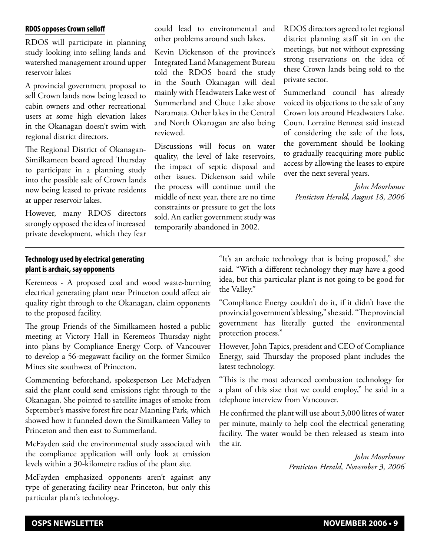**RDOS opposes Crown selloff**

RDOS will participate in planning study looking into selling lands and watershed management around upper reservoir lakes

A provincial government proposal to sell Crown lands now being leased to cabin owners and other recreational users at some high elevation lakes in the Okanagan doesn't swim with regional district directors.

The Regional District of Okanagan-Similkameen board agreed Thursday to participate in a planning study into the possible sale of Crown lands now being leased to private residents at upper reservoir lakes.

However, many RDOS directors strongly opposed the idea of increased private development, which they fear

could lead to environmental and other problems around such lakes.

Kevin Dickenson of the province's Integrated Land Management Bureau told the RDOS board the study in the South Okanagan will deal mainly with Headwaters Lake west of Summerland and Chute Lake above Naramata. Other lakes in the Central and North Okanagan are also being reviewed.

Discussions will focus on water quality, the level of lake reservoirs, the impact of septic disposal and other issues. Dickenson said while the process will continue until the middle of next year, there are no time constraints or pressure to get the lots sold. An earlier government study was temporarily abandoned in 2002.

RDOS directors agreed to let regional district planning staff sit in on the meetings, but not without expressing strong reservations on the idea of these Crown lands being sold to the private sector.

Summerland council has already voiced its objections to the sale of any Crown lots around Headwaters Lake. Coun. Lorraine Bennest said instead of considering the sale of the lots, the government should be looking to gradually reacquiring more public access by allowing the leases to expire over the next several years.

*John Moorhouse Penticton Herald, August 18, 2006*

# **Technology used by electrical generating plant is archaic, say opponents**

Keremeos - A proposed coal and wood waste-burning electrical generating plant near Princeton could affect air quality right through to the Okanagan, claim opponents to the proposed facility.

The group Friends of the Similkameen hosted a public meeting at Victory Hall in Keremeos Thursday night into plans by Compliance Energy Corp. of Vancouver to develop a 56-megawatt facility on the former Similco Mines site southwest of Princeton.

Commenting beforehand, spokesperson Lee McFadyen said the plant could send emissions right through to the Okanagan. She pointed to satellite images of smoke from September's massive forest fire near Manning Park, which showed how it funneled down the Similkameen Valley to Princeton and then east to Summerland.

McFayden said the environmental study associated with the compliance application will only look at emission levels within a 30-kilometre radius of the plant site.

McFayden emphasized opponents aren't against any type of generating facility near Princeton, but only this particular plant's technology.

"It's an archaic technology that is being proposed," she said. "With a different technology they may have a good idea, but this particular plant is not going to be good for the Valley."

"Compliance Energy couldn't do it, if it didn't have the provincial government's blessing," she said. "The provincial government has literally gutted the environmental protection process."

However, John Tapics, president and CEO of Compliance Energy, said Thursday the proposed plant includes the latest technology.

"This is the most advanced combustion technology for a plant of this size that we could employ," he said in a telephone interview from Vancouver.

He confirmed the plant will use about 3,000 litres of water per minute, mainly to help cool the electrical generating facility. The water would be then released as steam into the air.

> *John Moorhouse Penticton Herald, November 3, 2006*